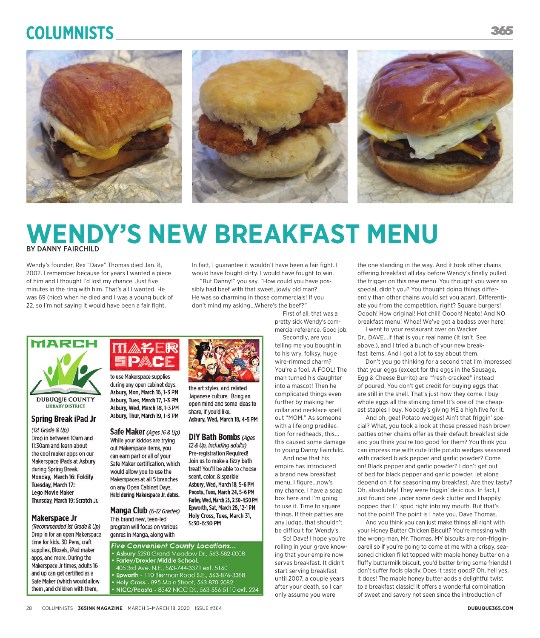# **Columnists**



## **WENDY'S NEW BREAKFAST MENU** BY DANNY FAIRCHILD

the art styles, and related

share, if you'd like.

Japanese culture. Bring an

open mind and some ideas to

Asbury, Wed, March 18, 4-5 PM

**DIY Bath Bombs (Ages)** 

12 & Up, including adults)

Pre-registration Required!

scent, color, & sparkle!

Join us to make a fizzy bath

treat! You'll be able to choose

Asbury, Wed, March 18, 5-6 PM

Peosta, Tues, March 24, 5-6 PM

Farley, Wed, March 25, 3:30-4:30 PM

Epworth, Sat, March 28, 12-1 PM

Holy Cross, Tues, March 31,

5:30-6:30 PM

Wendy's founder, Rex "Dave" Thomas died Jan. 8, 2002. I remember because for years I wanted a piece of him and I thought I'd lost my chance. Just five minutes in the ring with him. That's all I wanted. He was 69 (nice) when he died and I was a young buck of 22, so I'm not saying it would have been a fair fight.

In fact, I guarantee it wouldn't have been a fair fight. I would have fought dirty. I would have fought to win.

"But Danny!" you say. "How could you have possibly had beef with that sweet, jowly old man? He was so charming in those commercials! If you don't mind my asking...Where's the beef?"

First of all, that was a pretty sick Wendy's commercial reference. Good job.

Secondly, are you telling me you bought in to his wry, folksy, huge wire-rimmed charm? You're a fool. A FOOL! The man turned his daughter into a mascot! Then he complicated things even further by making her collar and necklace spell out "MOM." As someone with a lifelong predilection for redheads, this... this caused some damage to young Danny Fairchild.

And now that his empire has introduced a brand new breakfast menu, I figure...now's my chance. I have a soap box here and I'm going to use it. Time to square things. If their patties are any judge, that shouldn't be difficult for Wendy's.

So! Dave! I hope you're rolling in your grave knowing that your empire now serves breakfast. It didn't start serving breakfast until 2007, a couple years after your death, so I can only assume you were

the one standing in the way. And it took other chains offering breakfast all day before Wendy's finally pulled the trigger on this new menu. You thought you were so special, didn't you? You thought doing things differently than other chains would set you apart. Differentiate you from the competition, right? Square burgers! Ooooh! How original! Hot chili! Ooooh! Neato! And NO breakfast menu! Whoa! We've got a badass over here!

I went to your restaurant over on Wacker Dr., DAVE...if that is your real name (It isn't. See above.), and I tried a bunch of your new breakfast items. And I got a lot to say about them.

Don't you go thinking for a second that I'm impressed that your eggs (except for the eggs in the Sausage, Egg & Cheese Burrito) are "fresh-cracked" instead of poured. You don't get credit for buying eggs that are still in the shell. That's just how they come. I buy whole eggs all the stinking time! It's one of the cheapest staples I buy. Nobody's giving ME a high five for it.

And oh, gee! Potato wedges! Ain't that friggin' special? What, you took a look at those pressed hash brown patties other chains offer as their default breakfast side and you think you're too good for them? You think you can impress me with cute little potato wedges seasoned with cracked black pepper and garlic powder? Come on! Black pepper and garlic powder? I don't get out of bed for black pepper and garlic powder, let alone depend on it for seasoning my breakfast. Are they tasty? Oh, absolutely! They were friggin' delicious. In fact, I just found one under some desk clutter and I happily popped that li'l spud right into my mouth. But that's not the point! The point is I hate you, Dave Thomas.

And you think you can just make things all right with your Honey Butter Chicken Biscuit? You're messing with the wrong man, Mr. Thomas. MY biscuits are non-frigginpareil so if you're going to come at me with a crispy, seasoned chicken fillet topped with maple honey butter on a fluffy buttermilk biscuit, you'd better bring some friends! I don't suffer fools gladly. Does it taste good? Oh, hell yes, it does! The maple honey butter adds a delightful twist to a breakfast classic! It offers a wonderful combination of sweet and savory not seen since the introduction of



**DUBUQUE COUNTY LIBRARY DISTRICT** 

#### **Spring Break iPad Jr**

(1st Grade & Up) Drop in between 10am and 11:30am and learn about the cool maker apps on our Makerspace iPads at Asbury during Spring Break. Monday, March 16: Foldify Tuesday, March 17: **Lego Movie Maker** Thursday, March 19: Scratch Jr.

#### **Makerspace Jr**

(Recommended 1st Grade & Up) Drop in for an open Makerspace time for kids. 3D Pens, craft supplies, Bloxels, iPad maker apps, and more. During the Makerspace Jr times, adults 16 and up can get certified as a Safe Maker (which would allow them, and children with them,



during any open cabinet days. Asbury, Mon, March 16, 1-3 PM Asbury, Tues, March 17, 1-3 PM Asbury, Wed, March 18, 1-3 PM Asbury, Thur, March 19, 1-3 PM

Safe Maker (Ages 16 & Up) While your kiddos are trying out Makerspace items, you can earn part or all of your Safe Maker certification, which would allow you to use the Makerspaces at all 5 branches on any Open Cabinet Days. Held during Makerspace Jr. dates.

Manga Club (6-12 Grades) This brand new, teen-led program will focus on various genres in Manga, along with

**Five Convenient County Locations...** • Asbury 5290 Grand Meadow Dr., 563-582-0008<br>• Farley/Drexler Middle School.

- 
- 405 3rd Ave. N.E., 563-744-3371 ext. 5160
- Epworth 110 Bierman Road S.E., 563-876-3388
- . Holy Cross 895 Main Street, 563-870-2082 • NICC/Peosta - 8342 NICC Dr., 563-556-5110 ext. 224